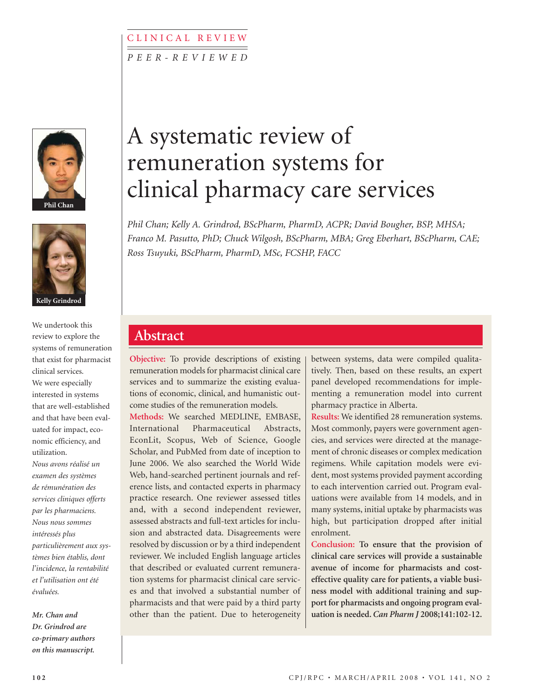### *PEER-REVIEWED* CLINICAL REVIEW





We undertook this review to explore the systems of remuneration that exist for pharmacist clinical services. We were especially interested in systems that are well-established and that have been evaluated for impact, economic efficiency, and utilization. *Nous avons réalisé un*

*examen des systèmes de rémunération des services cliniques offerts par les pharmaciens. Nous nous sommes intéressés plus particulièrement aux systèmes bien établis, dont l'incidence, la rentabilité et l'utilisation ont été évaluées.*

*Mr. Chan and Dr. Grindrod are co-primary authors on this manuscript.*

# A systematic review of remuneration systems for clinical pharmacy care services

*Phil Chan; Kelly A. Grindrod, BScPharm, PharmD, ACPR; David Bougher, BSP, MHSA; Franco M. Pasutto, PhD; Chuck Wilgosh, BScPharm, MBA; Greg Eberhart, BScPharm, CAE; Ross Tsuyuki, BScPharm, PharmD, MSc, FCSHP, FACC*

### **Abstract**

**Objective:** To provide descriptions of existing remuneration models for pharmacist clinical care services and to summarize the existing evaluations of economic, clinical, and humanistic outcome studies of the remuneration models.

**Methods:** We searched MEDLINE, EMBASE, International Pharmaceutical Abstracts, EconLit, Scopus, Web of Science, Google Scholar, and PubMed from date of inception to June 2006. We also searched the World Wide Web, hand-searched pertinent journals and reference lists, and contacted experts in pharmacy practice research. One reviewer assessed titles and, with a second independent reviewer, assessed abstracts and full-text articles for inclusion and abstracted data. Disagreements were resolved by discussion or by a third independent reviewer. We included English language articles that described or evaluated current remuneration systems for pharmacist clinical care services and that involved a substantial number of pharmacists and that were paid by a third party other than the patient. Due to heterogeneity

between systems, data were compiled qualitatively. Then, based on these results, an expert panel developed recommendations for implementing a remuneration model into current pharmacy practice in Alberta.

**Results:** We identified 28 remuneration systems. Most commonly, payers were government agencies, and services were directed at the management of chronic diseases or complex medication regimens. While capitation models were evident, most systems provided payment according to each intervention carried out. Program evaluations were available from 14 models, and in many systems, initial uptake by pharmacists was high, but participation dropped after initial enrolment.

**Conclusion: To ensure that the provision of clinical care services will provide a sustainable avenue of income for pharmacists and costeffective quality care for patients, a viable business model with additional training and support for pharmacists and ongoing program evaluation is needed.** *Can Pharm J* **2008;141:102-12.**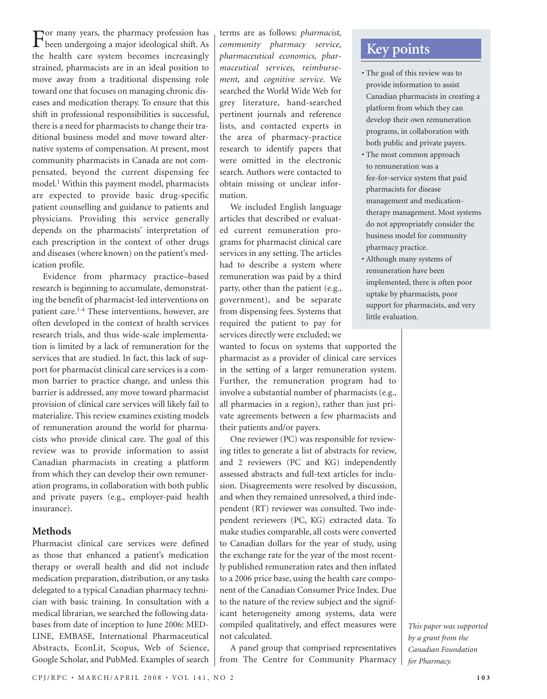For many years, the pharmacy profession has been undergoing a major ideological shift. As the health care system becomes increasingly strained, pharmacists are in an ideal position to move away from a traditional dispensing role toward one that focuses on managing chronic diseases and medication therapy. To ensure that this shift in professional responsibilities is successful, there is a need for pharmacists to change their traditional business model and move toward alternative systems of compensation. At present, most community pharmacists in Canada are not compensated, beyond the current dispensing fee model.1 Within this payment model, pharmacists are expected to provide basic drug-specific patient counselling and guidance to patients and physicians. Providing this service generally depends on the pharmacists' interpretation of each prescription in the context of other drugs and diseases (where known) on the patient's medication profile.

Evidence from pharmacy practice–based research is beginning to accumulate, demonstrating the benefit of pharmacist-led interventions on patient care.<sup>1-4</sup> These interventions, however, are often developed in the context of health services research trials, and thus wide-scale implementation is limited by a lack of remuneration for the services that are studied. In fact, this lack of support for pharmacist clinical care services is a common barrier to practice change, and unless this barrier is addressed, any move toward pharmacist provision of clinical care services will likely fail to materialize. This review examines existing models of remuneration around the world for pharmacists who provide clinical care. The goal of this review was to provide information to assist Canadian pharmacists in creating a platform from which they can develop their own remuneration programs, in collaboration with both public and private payers (e.g., employer-paid health insurance).

### **Methods**

Pharmacist clinical care services were defined as those that enhanced a patient's medication therapy or overall health and did not include medication preparation, distribution, or any tasks delegated to a typical Canadian pharmacy technician with basic training. In consultation with a medical librarian, we searched the following databases from date of inception to June 2006: MED-LINE, EMBASE, International Pharmaceutical Abstracts, EconLit, Scopus, Web of Science, Google Scholar, and PubMed. Examples of search

terms are as follows: *pharmacist, community pharmacy service, pharmaceutical economics, pharmaceutical services, reimbursement,* and *cognitive service*. We searched the World Wide Web for grey literature, hand-searched pertinent journals and reference lists, and contacted experts in the area of pharmacy-practice research to identify papers that were omitted in the electronic search. Authors were contacted to obtain missing or unclear information.

We included English language articles that described or evaluated current remuneration programs for pharmacist clinical care services in any setting. The articles had to describe a system where remuneration was paid by a third party, other than the patient (e.g., government), and be separate from dispensing fees. Systems that required the patient to pay for services directly were excluded; we

wanted to focus on systems that supported the pharmacist as a provider of clinical care services in the setting of a larger remuneration system. Further, the remuneration program had to involve a substantial number of pharmacists (e.g., all pharmacies in a region), rather than just private agreements between a few pharmacists and their patients and/or payers.

One reviewer (PC) was responsible for reviewing titles to generate a list of abstracts for review, and 2 reviewers (PC and KG) independently assessed abstracts and full-text articles for inclusion. Disagreements were resolved by discussion, and when they remained unresolved, a third independent (RT) reviewer was consulted. Two independent reviewers (PC, KG) extracted data. To make studies comparable, all costs were converted to Canadian dollars for the year of study, using the exchange rate for the year of the most recently published remuneration rates and then inflated to a 2006 price base, using the health care component of the Canadian Consumer Price Index. Due to the nature of the review subject and the significant heterogeneity among systems, data were compiled qualitatively, and effect measures were not calculated.

A panel group that comprised representatives from The Centre for Community Pharmacy

### **Key points**

- The goal of this review was to provide information to assist Canadian pharmacists in creating a platform from which they can develop their own remuneration programs, in collaboration with both public and private payers.
- The most common approach to remuneration was a fee-for-service system that paid pharmacists for disease management and medicationtherapy management. Most systems do not appropriately consider the business model for community pharmacy practice.
- Although many systems of remuneration have been implemented, there is often poor uptake by pharmacists, poor support for pharmacists, and very little evaluation.

*This paper was supported by a grant from the Canadian Foundation for Pharmacy.*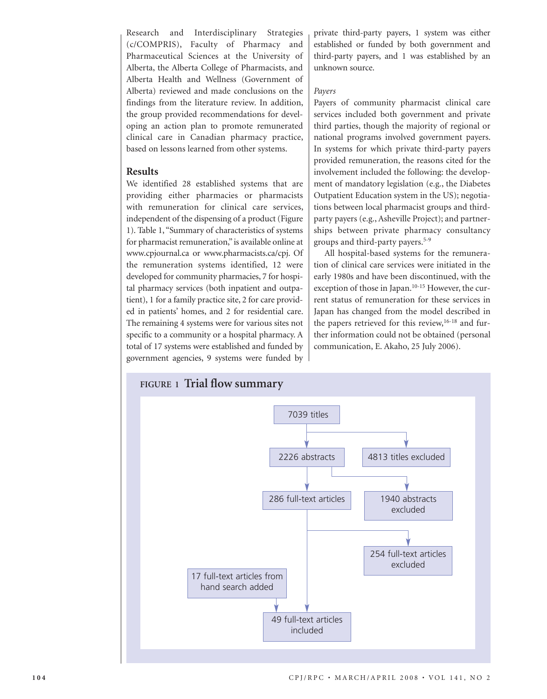Research and Interdisciplinary Strategies (c/COMPRIS), Faculty of Pharmacy and Pharmaceutical Sciences at the University of Alberta, the Alberta College of Pharmacists, and Alberta Health and Wellness (Government of Alberta) reviewed and made conclusions on the findings from the literature review. In addition, the group provided recommendations for developing an action plan to promote remunerated clinical care in Canadian pharmacy practice, based on lessons learned from other systems.

### **Results**

We identified 28 established systems that are providing either pharmacies or pharmacists with remuneration for clinical care services, independent of the dispensing of a product (Figure 1). Table 1, "Summary of characteristics of systems for pharmacist remuneration," is available online at www.cpjournal.ca or www.pharmacists.ca/cpj. Of the remuneration systems identified, 12 were developed for community pharmacies, 7 for hospital pharmacy services (both inpatient and outpatient), 1 for a family practice site, 2 for care provided in patients' homes, and 2 for residential care. The remaining 4 systems were for various sites not specific to a community or a hospital pharmacy. A total of 17 systems were established and funded by government agencies, 9 systems were funded by private third-party payers, 1 system was either established or funded by both government and third-party payers, and 1 was established by an unknown source.

### *Payers*

Payers of community pharmacist clinical care services included both government and private third parties, though the majority of regional or national programs involved government payers. In systems for which private third-party payers provided remuneration, the reasons cited for the involvement included the following: the development of mandatory legislation (e.g., the Diabetes Outpatient Education system in the US); negotiations between local pharmacist groups and thirdparty payers (e.g., Asheville Project); and partnerships between private pharmacy consultancy groups and third-party payers.<sup>5-9</sup>

All hospital-based systems for the remuneration of clinical care services were initiated in the early 1980s and have been discontinued, with the exception of those in Japan.<sup>10-15</sup> However, the current status of remuneration for these services in Japan has changed from the model described in the papers retrieved for this review,<sup>16-18</sup> and further information could not be obtained (personal communication, E. Akaho, 25 July 2006).

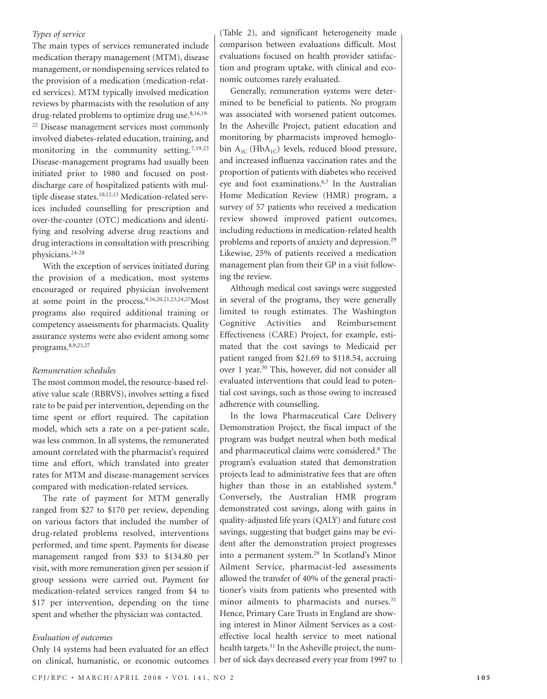### *Types of service*

The main types of services remunerated include medication therapy management (MTM), disease management, or nondispensing services related to the provision of a medication (medication-related services). MTM typically involved medication reviews by pharmacists with the resolution of any drug-related problems to optimize drug use.<sup>8,16,19-</sup> <sup>22</sup> Disease management services most commonly involved diabetes-related education, training, and monitoring in the community setting.<sup>7,19,23</sup> Disease-management programs had usually been initiated prior to 1980 and focused on postdischarge care of hospitalized patients with multiple disease states.<sup>10,12,13</sup> Medication-related services included counselling for prescription and over-the-counter (OTC) medications and identifying and resolving adverse drug reactions and drug interactions in consultation with prescribing physicians.24-28

With the exception of services initiated during the provision of a medication, most systems encouraged or required physician involvement at some point in the process.<sup>9,16,20,21,23,24,27</sup>Most programs also required additional training or competency assessments for pharmacists. Quality assurance systems were also evident among some programs.8,9,23,27

#### *Remuneration schedules*

The most common model, the resource-based relative value scale (RBRVS), involves setting a fixed rate to be paid per intervention, depending on the time spent or effort required. The capitation model, which sets a rate on a per-patient scale, was less common. In all systems, the remunerated amount correlated with the pharmacist's required time and effort, which translated into greater rates for MTM and disease-management services compared with medication-related services.

The rate of payment for MTM generally ranged from \$27 to \$170 per review, depending on various factors that included the number of drug-related problems resolved, interventions performed, and time spent. Payments for disease management ranged from \$33 to \$134.80 per visit, with more remuneration given per session if group sessions were carried out. Payment for medication-related services ranged from \$4 to \$17 per intervention, depending on the time spent and whether the physician was contacted.

### *Evaluation of outcomes*

Only 14 systems had been evaluated for an effect on clinical, humanistic, or economic outcomes

(Table 2), and significant heterogeneity made comparison between evaluations difficult. Most evaluations focused on health provider satisfaction and program uptake, with clinical and economic outcomes rarely evaluated.

Generally, remuneration systems were determined to be beneficial to patients. No program was associated with worsened patient outcomes. In the Asheville Project, patient education and monitoring by pharmacists improved hemoglobin  $A_{1C}$  (Hb $A_{1C}$ ) levels, reduced blood pressure, and increased influenza vaccination rates and the proportion of patients with diabetes who received eye and foot examinations.<sup>6,7</sup> In the Australian Home Medication Review (HMR) program, a survey of 57 patients who received a medication review showed improved patient outcomes, including reductions in medication-related health problems and reports of anxiety and depression.29 Likewise, 25% of patients received a medication management plan from their GP in a visit following the review.

Although medical cost savings were suggested in several of the programs, they were generally limited to rough estimates. The Washington Cognitive Activities and Reimbursement Effectiveness (CARE) Project, for example, estimated that the cost savings to Medicaid per patient ranged from \$21.69 to \$118.54, accruing over 1 year.30 This, however, did not consider all evaluated interventions that could lead to potential cost savings, such as those owing to increased adherence with counselling.

In the Iowa Pharmaceutical Care Delivery Demonstration Project, the fiscal impact of the program was budget neutral when both medical and pharmaceutical claims were considered.8 The program's evaluation stated that demonstration projects lead to administrative fees that are often higher than those in an established system.<sup>8</sup> Conversely, the Australian HMR program demonstrated cost savings, along with gains in quality-adjusted life years (QALY) and future cost savings, suggesting that budget gains may be evident after the demonstration project progresses into a permanent system.29 In Scotland's Minor Ailment Service, pharmacist-led assessments allowed the transfer of 40% of the general practitioner's visits from patients who presented with minor ailments to pharmacists and nurses.<sup>31</sup> Hence, Primary Care Trusts in England are showing interest in Minor Ailment Services as a costeffective local health service to meet national health targets.<sup>31</sup> In the Asheville project, the number of sick days decreased every year from 1997 to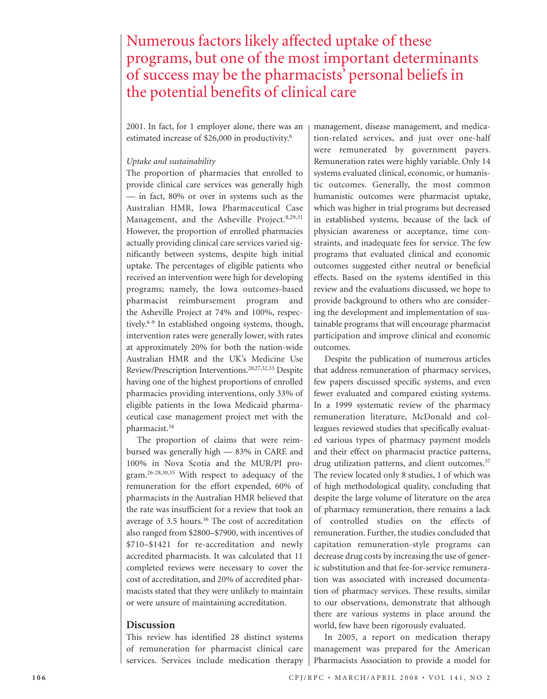# Numerous factors likely affected uptake of these programs, but one of the most important determinants of success may be the pharmacists' personal beliefs in the potential benefits of clinical care

2001. In fact, for 1 employer alone, there was an estimated increase of \$26,000 in productivity.6

### *Uptake and sustainability*

The proportion of pharmacies that enrolled to provide clinical care services was generally high — in fact, 80% or over in systems such as the Australian HMR, Iowa Pharmaceutical Case Management, and the Asheville Project.<sup>8,29,31</sup> However, the proportion of enrolled pharmacies actually providing clinical care services varied significantly between systems, despite high initial uptake. The percentages of eligible patients who received an intervention were high for developing programs; namely, the Iowa outcomes-based pharmacist reimbursement program and the Asheville Project at 74% and 100%, respectively.<sup>6-9</sup> In established ongoing systems, though, intervention rates were generally lower, with rates at approximately 20% for both the nation-wide Australian HMR and the UK's Medicine Use Review/Prescription Interventions.20,27,32,33 Despite having one of the highest proportions of enrolled pharmacies providing interventions, only 33% of eligible patients in the Iowa Medicaid pharmaceutical case management project met with the pharmacist.34

The proportion of claims that were reimbursed was generally high — 83% in CARE and 100% in Nova Scotia and the MUR/PI program.26-28,30,35 With respect to adequacy of the remuneration for the effort expended, 60% of pharmacists in the Australian HMR believed that the rate was insufficient for a review that took an average of 3.5 hours.<sup>36</sup> The cost of accreditation also ranged from \$2800–\$7900, with incentives of \$710–\$1421 for re-accreditation and newly accredited pharmacists. It was calculated that 11 completed reviews were necessary to cover the cost of accreditation, and 20% of accredited pharmacists stated that they were unlikely to maintain or were unsure of maintaining accreditation.

### **Discussion**

This review has identified 28 distinct systems of remuneration for pharmacist clinical care services. Services include medication therapy management, disease management, and medication-related services, and just over one-half were remunerated by government payers. Remuneration rates were highly variable. Only 14 systems evaluated clinical, economic, or humanistic outcomes. Generally, the most common humanistic outcomes were pharmacist uptake, which was higher in trial programs but decreased in established systems, because of the lack of physician awareness or acceptance, time constraints, and inadequate fees for service. The few programs that evaluated clinical and economic outcomes suggested either neutral or beneficial effects. Based on the systems identified in this review and the evaluations discussed, we hope to provide background to others who are considering the development and implementation of sustainable programs that will encourage pharmacist participation and improve clinical and economic outcomes.

Despite the publication of numerous articles that address remuneration of pharmacy services, few papers discussed specific systems, and even fewer evaluated and compared existing systems. In a 1999 systematic review of the pharmacy remuneration literature, McDonald and colleagues reviewed studies that specifically evaluated various types of pharmacy payment models and their effect on pharmacist practice patterns, drug utilization patterns, and client outcomes.<sup>37</sup> The review located only 8 studies, 1 of which was of high methodological quality, concluding that despite the large volume of literature on the area of pharmacy remuneration, there remains a lack of controlled studies on the effects of remuneration. Further, the studies concluded that capitation remuneration-style programs can decrease drug costs by increasing the use of generic substitution and that fee-for-service remuneration was associated with increased documentation of pharmacy services. These results, similar to our observations, demonstrate that although there are various systems in place around the world, few have been rigorously evaluated.

In 2005, a report on medication therapy management was prepared for the American Pharmacists Association to provide a model for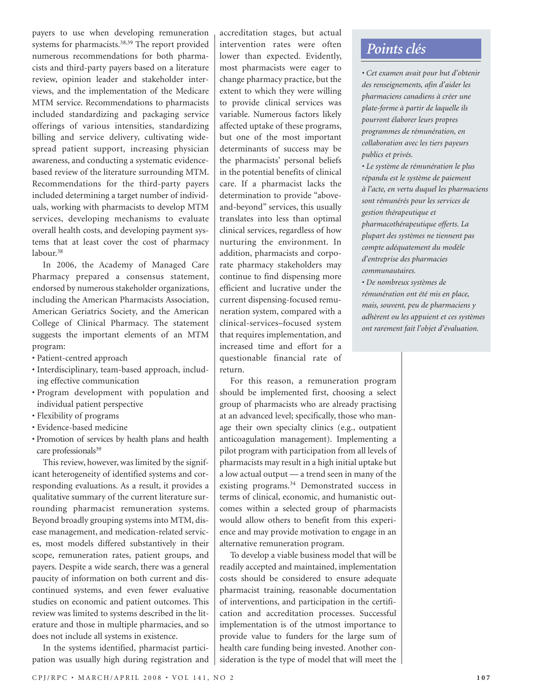payers to use when developing remuneration systems for pharmacists.<sup>38,39</sup> The report provided numerous recommendations for both pharmacists and third-party payers based on a literature review, opinion leader and stakeholder interviews, and the implementation of the Medicare MTM service. Recommendations to pharmacists included standardizing and packaging service offerings of various intensities, standardizing billing and service delivery, cultivating widespread patient support, increasing physician awareness, and conducting a systematic evidencebased review of the literature surrounding MTM. Recommendations for the third-party payers included determining a target number of individuals, working with pharmacists to develop MTM services, developing mechanisms to evaluate overall health costs, and developing payment systems that at least cover the cost of pharmacy labour.<sup>38</sup>

In 2006, the Academy of Managed Care Pharmacy prepared a consensus statement, endorsed by numerous stakeholder organizations, including the American Pharmacists Association, American Geriatrics Society, and the American College of Clinical Pharmacy. The statement suggests the important elements of an MTM program:

- Patient-centred approach
- Interdisciplinary, team-based approach, including effective communication
- Program development with population and individual patient perspective
- Flexibility of programs
- Evidence-based medicine
- Promotion of services by health plans and health care professionals<sup>39</sup>

This review, however, was limited by the significant heterogeneity of identified systems and corresponding evaluations. As a result, it provides a qualitative summary of the current literature surrounding pharmacist remuneration systems. Beyond broadly grouping systems into MTM, disease management, and medication-related services, most models differed substantively in their scope, remuneration rates, patient groups, and payers. Despite a wide search, there was a general paucity of information on both current and discontinued systems, and even fewer evaluative studies on economic and patient outcomes. This review was limited to systems described in the literature and those in multiple pharmacies, and so does not include all systems in existence.

In the systems identified, pharmacist participation was usually high during registration and

accreditation stages, but actual intervention rates were often lower than expected. Evidently, most pharmacists were eager to change pharmacy practice, but the extent to which they were willing to provide clinical services was variable. Numerous factors likely affected uptake of these programs, but one of the most important determinants of success may be the pharmacists' personal beliefs in the potential benefits of clinical care. If a pharmacist lacks the determination to provide "aboveand-beyond" services, this usually translates into less than optimal clinical services, regardless of how nurturing the environment. In addition, pharmacists and corporate pharmacy stakeholders may continue to find dispensing more efficient and lucrative under the current dispensing-focused remuneration system, compared with a clinical-services–focused system that requires implementation, and increased time and effort for a questionable financial rate of return.

For this reason, a remuneration program should be implemented first, choosing a select group of pharmacists who are already practising at an advanced level; specifically, those who manage their own specialty clinics (e.g., outpatient anticoagulation management). Implementing a pilot program with participation from all levels of pharmacists may result in a high initial uptake but a low actual output — a trend seen in many of the existing programs.<sup>34</sup> Demonstrated success in terms of clinical, economic, and humanistic outcomes within a selected group of pharmacists would allow others to benefit from this experience and may provide motivation to engage in an alternative remuneration program.

To develop a viable business model that will be readily accepted and maintained, implementation costs should be considered to ensure adequate pharmacist training, reasonable documentation of interventions, and participation in the certification and accreditation processes. Successful implementation is of the utmost importance to provide value to funders for the large sum of health care funding being invested. Another consideration is the type of model that will meet the

## *Points clés*

*• Cet examen avait pour but d'obtenir des renseignements, afin d'aider les pharmaciens canadiens à créer une plate-forme à partir de laquelle ils pourront élaborer leurs propres programmes de rémunération, en collaboration avec les tiers payeurs publics et privés.*

*• Le système de rémunération le plus répandu est le système de paiement à l'acte, en vertu duquel les pharmaciens sont rémunérés pour les services de gestion thérapeutique et pharmacothérapeutique offerts. La plupart des systèmes ne tiennent pas*

*compte adéquatement du modèle d'entreprise des pharmacies communautaires.*

*• De nombreux systèmes de rémunération ont été mis en place, mais, souvent, peu de pharmaciens y adhèrent ou les appuient et ces systèmes ont rarement fait l'objet d'évaluation.*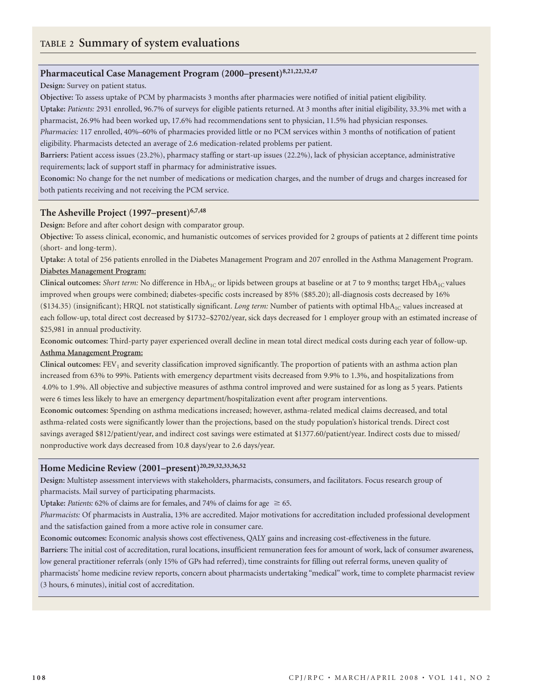### **Pharmaceutical Case Management Program (2000–present)8,21,22,32,47**

**Design:** Survey on patient status.

**Objective:** To assess uptake of PCM by pharmacists 3 months after pharmacies were notified of initial patient eligibility.

**Uptake:** *Patients:* 2931 enrolled, 96.7% of surveys for eligible patients returned. At 3 months after initial eligibility, 33.3% met with a pharmacist, 26.9% had been worked up, 17.6% had recommendations sent to physician, 11.5% had physician responses.

*Pharmacies:* 117 enrolled, 40%–60% of pharmacies provided little or no PCM services within 3 months of notification of patient eligibility. Pharmacists detected an average of 2.6 medication-related problems per patient.

**Barriers:** Patient access issues (23.2%), pharmacy staffing or start-up issues (22.2%), lack of physician acceptance, administrative requirements; lack of support staff in pharmacy for administrative issues.

**Economic:** No change for the net number of medications or medication charges, and the number of drugs and charges increased for both patients receiving and not receiving the PCM service.

### **The Asheville Project (1997–present)6,7,48**

**Design:** Before and after cohort design with comparator group.

**Objective:** To assess clinical, economic, and humanistic outcomes of services provided for 2 groups of patients at 2 different time points (short- and long-term).

**Uptake:** A total of 256 patients enrolled in the Diabetes Management Program and 207 enrolled in the Asthma Management Program. **Diabetes Management Program:**

**Clinical outcomes:** *Short term:* No difference in HbA<sub>1C</sub> or lipids between groups at baseline or at 7 to 9 months; target HbA<sub>1C</sub> values improved when groups were combined; diabetes-specific costs increased by 85% (\$85.20); all-diagnosis costs decreased by 16% (\$134.35) (insignificant); HRQL not statistically significant. *Long term:* Number of patients with optimal HbA<sub>1C</sub> values increased at each follow-up, total direct cost decreased by \$1732–\$2702/year, sick days decreased for 1 employer group with an estimated increase of \$25,981 in annual productivity.

**Economic outcomes:** Third-party payer experienced overall decline in mean total direct medical costs during each year of follow-up. **Asthma Management Program:**

Clinical outcomes: FEV<sub>1</sub> and severity classification improved significantly. The proportion of patients with an asthma action plan increased from 63% to 99%. Patients with emergency department visits decreased from 9.9% to 1.3%, and hospitalizations from 4.0% to 1.9%. All objective and subjective measures of asthma control improved and were sustained for as long as 5 years. Patients were 6 times less likely to have an emergency department/hospitalization event after program interventions.

**Economic outcomes:** Spending on asthma medications increased; however, asthma-related medical claims decreased, and total asthma-related costs were significantly lower than the projections, based on the study population's historical trends. Direct cost savings averaged \$812/patient/year, and indirect cost savings were estimated at \$1377.60/patient/year. Indirect costs due to missed/ nonproductive work days decreased from 10.8 days/year to 2.6 days/year.

### Home Medicine Review (2001–present)<sup>20,29,32,33,36,52</sup>

**Design:** Multistep assessment interviews with stakeholders, pharmacists, consumers, and facilitators. Focus research group of pharmacists. Mail survey of participating pharmacists.

Uptake: *Patients:* 62% of claims are for females, and 74% of claims for age  $\geq 65$ .

*Pharmacists:* Of pharmacists in Australia, 13% are accredited. Major motivations for accreditation included professional development and the satisfaction gained from a more active role in consumer care.

**Economic outcomes:** Economic analysis shows cost effectiveness, QALY gains and increasing cost-effectiveness in the future. **Barriers:** The initial cost of accreditation, rural locations, insufficient remuneration fees for amount of work, lack of consumer awareness, low general practitioner referrals (only 15% of GPs had referred), time constraints for filling out referral forms, uneven quality of pharmacists' home medicine review reports, concern about pharmacists undertaking "medical" work, time to complete pharmacist review (3 hours, 6 minutes), initial cost of accreditation.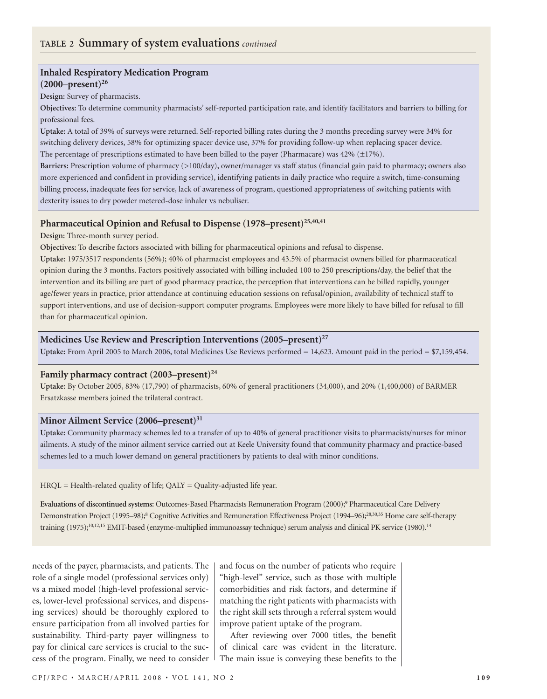### **Inhaled Respiratory Medication Program (2000–present)26**

**Design:** Survey of pharmacists.

**Objectives:** To determine community pharmacists' self-reported participation rate, and identify facilitators and barriers to billing for professional fees.

**Uptake:** A total of 39% of surveys were returned. Self-reported billing rates during the 3 months preceding survey were 34% for switching delivery devices, 58% for optimizing spacer device use, 37% for providing follow-up when replacing spacer device. The percentage of prescriptions estimated to have been billed to the payer (Pharmacare) was 42% (±17%).

**Barriers:** Prescription volume of pharmacy (>100/day), owner/manager vs staff status (financial gain paid to pharmacy; owners also more experienced and confident in providing service), identifying patients in daily practice who require a switch, time-consuming billing process, inadequate fees for service, lack of awareness of program, questioned appropriateness of switching patients with dexterity issues to dry powder metered-dose inhaler vs nebuliser.

### Pharmaceutical Opinion and Refusal to Dispense (1978–present)<sup>25,40,41</sup>

**Design:** Three-month survey period.

**Objectives:** To describe factors associated with billing for pharmaceutical opinions and refusal to dispense.

**Uptake:** 1975/3517 respondents (56%); 40% of pharmacist employees and 43.5% of pharmacist owners billed for pharmaceutical opinion during the 3 months. Factors positively associated with billing included 100 to 250 prescriptions/day, the belief that the intervention and its billing are part of good pharmacy practice, the perception that interventions can be billed rapidly, younger age/fewer years in practice, prior attendance at continuing education sessions on refusal/opinion, availability of technical staff to support interventions, and use of decision-support computer programs. Employees were more likely to have billed for refusal to fill than for pharmaceutical opinion.

### **Medicines Use Review and Prescription Interventions (2005–present)27**

**Uptake:** From April 2005 to March 2006, total Medicines Use Reviews performed = 14,623. Amount paid in the period = \$7,159,454.

### **Family pharmacy contract (2003–present)24**

**Uptake:** By October 2005, 83% (17,790) of pharmacists, 60% of general practitioners (34,000), and 20% (1,400,000) of BARMER Ersatzkasse members joined the trilateral contract.

### **Minor Ailment Service (2006–present)31**

**Uptake:** Community pharmacy schemes led to a transfer of up to 40% of general practitioner visits to pharmacists/nurses for minor ailments. A study of the minor ailment service carried out at Keele University found that community pharmacy and practice-based schemes led to a much lower demand on general practitioners by patients to deal with minor conditions.

 $HRQL = Health-related quality of life; QALY = Quality-adjusted life year.$ 

**Evaluations of discontinued systems:** Outcomes-Based Pharmacists Remuneration Program (2000);9 Pharmaceutical Care Delivery Demonstration Project (1995–98);<sup>8</sup> Cognitive Activities and Remuneration Effectiveness Project (1994–96);<sup>28,30,35</sup> Home care self-therapy training (1975);<sup>10,12,15</sup> EMIT-based (enzyme-multiplied immunoassay technique) serum analysis and clinical PK service (1980).<sup>14</sup>

needs of the payer, pharmacists, and patients. The role of a single model (professional services only) vs a mixed model (high-level professional services, lower-level professional services, and dispensing services) should be thoroughly explored to ensure participation from all involved parties for sustainability. Third-party payer willingness to pay for clinical care services is crucial to the success of the program. Finally, we need to consider and focus on the number of patients who require "high-level" service, such as those with multiple comorbidities and risk factors, and determine if matching the right patients with pharmacists with the right skill sets through a referral system would improve patient uptake of the program.

After reviewing over 7000 titles, the benefit of clinical care was evident in the literature. The main issue is conveying these benefits to the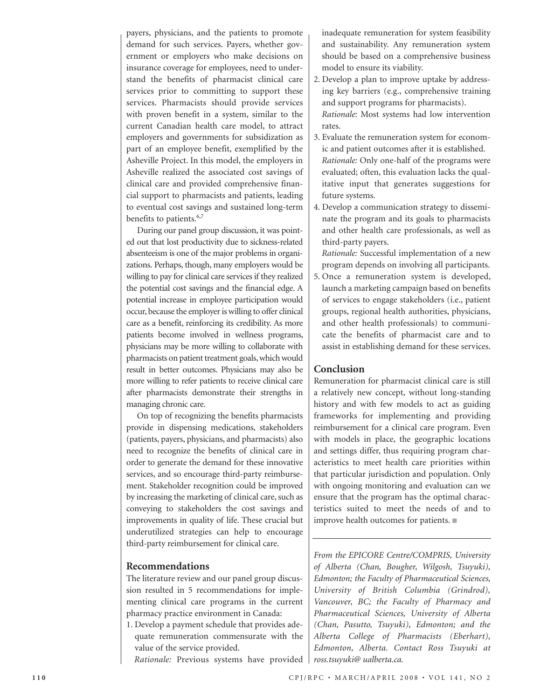payers, physicians, and the patients to promote demand for such services. Payers, whether government or employers who make decisions on insurance coverage for employees, need to understand the benefits of pharmacist clinical care services prior to committing to support these services. Pharmacists should provide services with proven benefit in a system, similar to the current Canadian health care model, to attract employers and governments for subsidization as part of an employee benefit, exemplified by the Asheville Project. In this model, the employers in Asheville realized the associated cost savings of clinical care and provided comprehensive financial support to pharmacists and patients, leading to eventual cost savings and sustained long-term benefits to patients.<sup>6,7</sup>

During our panel group discussion, it was pointed out that lost productivity due to sickness-related absenteeism is one of the major problems in organizations. Perhaps, though, many employers would be willing to pay for clinical care services if they realized the potential cost savings and the financial edge. A potential increase in employee participation would occur, because the employer is willing to offer clinical care as a benefit, reinforcing its credibility. As more patients become involved in wellness programs, physicians may be more willing to collaborate with pharmacists on patient treatment goals, which would result in better outcomes. Physicians may also be more willing to refer patients to receive clinical care after pharmacists demonstrate their strengths in managing chronic care.

On top of recognizing the benefits pharmacists provide in dispensing medications, stakeholders (patients, payers, physicians, and pharmacists) also need to recognize the benefits of clinical care in order to generate the demand for these innovative services, and so encourage third-party reimbursement. Stakeholder recognition could be improved by increasing the marketing of clinical care, such as conveying to stakeholders the cost savings and improvements in quality of life. These crucial but underutilized strategies can help to encourage third-party reimbursement for clinical care.

### **Recommendations**

The literature review and our panel group discussion resulted in 5 recommendations for implementing clinical care programs in the current pharmacy practice environment in Canada:

1. Develop a payment schedule that provides adequate remuneration commensurate with the value of the service provided.

*Rationale:* Previous systems have provided

inadequate remuneration for system feasibility and sustainability. Any remuneration system should be based on a comprehensive business model to ensure its viability.

2. Develop a plan to improve uptake by addressing key barriers (e.g., comprehensive training and support programs for pharmacists). *Rationale*: Most systems had low intervention

rates.

- 3. Evaluate the remuneration system for economic and patient outcomes after it is established. *Rationale:* Only one-half of the programs were evaluated; often, this evaluation lacks the qualitative input that generates suggestions for future systems.
- 4. Develop a communication strategy to disseminate the program and its goals to pharmacists and other health care professionals, as well as third-party payers.

*Rationale:* Successful implementation of a new program depends on involving all participants.

5. Once a remuneration system is developed, launch a marketing campaign based on benefits of services to engage stakeholders (i.e., patient groups, regional health authorities, physicians, and other health professionals) to communicate the benefits of pharmacist care and to assist in establishing demand for these services.

### **Conclusion**

Remuneration for pharmacist clinical care is still a relatively new concept, without long-standing history and with few models to act as guiding frameworks for implementing and providing reimbursement for a clinical care program. Even with models in place, the geographic locations and settings differ, thus requiring program characteristics to meet health care priorities within that particular jurisdiction and population. Only with ongoing monitoring and evaluation can we ensure that the program has the optimal characteristics suited to meet the needs of and to improve health outcomes for patients. ■

*From the EPICORE Centre/COMPRIS, University of Alberta (Chan, Bougher, Wilgosh, Tsuyuki), Edmonton; the Faculty of Pharmaceutical Sciences, University of British Columbia (Grindrod), Vancouver, BC; the Faculty of Pharmacy and Pharmaceutical Sciences, University of Alberta (Chan, Pasutto, Tsuyuki), Edmonton; and the Alberta College of Pharmacists (Eberhart), Edmonton, Alberta. Contact Ross Tsuyuki at ross.tsuyuki@ ualberta.ca.*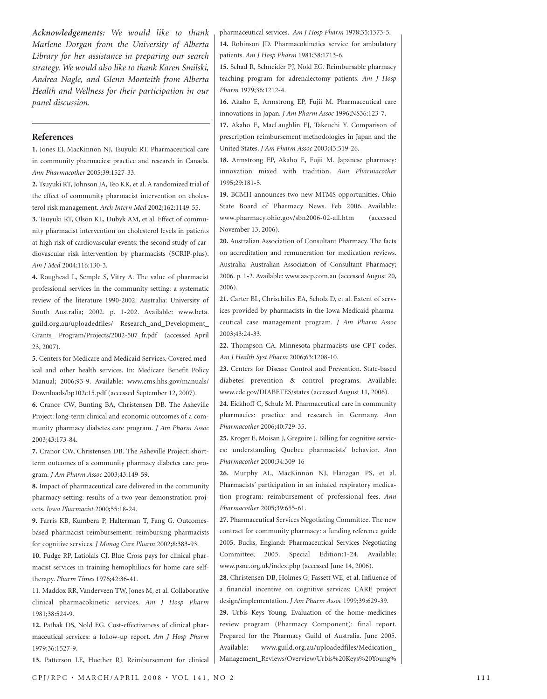*Acknowledgements: We would like to thank Marlene Dorgan from the University of Alberta Library for her assistance in preparing our search strategy. We would also like to thank Karen Smilski, Andrea Nagle, and Glenn Monteith from Alberta Health and Wellness for their participation in our panel discussion.*

#### **References**

**1.** Jones EJ, MacKinnon NJ, Tsuyuki RT. Pharmaceutical care in community pharmacies: practice and research in Canada. *Ann Pharmacother* 2005;39:1527-33.

**2.** Tsuyuki RT, Johnson JA, Teo KK, et al. A randomized trial of the effect of community pharmacist intervention on cholesterol risk management. *Arch Intern Med* 2002;162:1149-55.

**3.** Tsuyuki RT, Olson KL, Dubyk AM, et al. Effect of community pharmacist intervention on cholesterol levels in patients at high risk of cardiovascular events: the second study of cardiovascular risk intervention by pharmacists (SCRIP-plus). *Am J Med* 2004;116:130-3.

**4.** Roughead L, Semple S, Vitry A. The value of pharmacist professional services in the community setting: a systematic review of the literature 1990-2002. Australia: University of South Australia; 2002. p. 1-202. Available: www.beta. guild.org.au/uploadedfiles/ Research\_and\_Development\_ Grants\_ Program/Projects/2002-507\_fr.pdf (accessed April 23, 2007).

**5.** Centers for Medicare and Medicaid Services. Covered medical and other health services. In: Medicare Benefit Policy Manual; 2006;93-9. Available: www.cms.hhs.gov/manuals/ Downloads/bp102c15.pdf (accessed September 12, 2007).

**6.** Cranor CW, Bunting BA, Christensen DB. The Asheville Project: long-term clinical and economic outcomes of a community pharmacy diabetes care program. *J Am Pharm Assoc* 2003;43:173-84.

**7.** Cranor CW, Christensen DB. The Asheville Project: shortterm outcomes of a community pharmacy diabetes care program. *J Am Pharm Assoc* 2003;43:149-59.

**8.** Impact of pharmaceutical care delivered in the community pharmacy setting: results of a two year demonstration projects. *Iowa Pharmacist* 2000;55:18-24.

**9.** Farris KB, Kumbera P, Halterman T, Fang G. Outcomesbased pharmacist reimbursement: reimbursing pharmacists for cognitive services. *J Manag Care Pharm* 2002;8:383-93.

**10.** Fudge RP, Latiolais CJ. Blue Cross pays for clinical pharmacist services in training hemophiliacs for home care self therapy. *Pharm Times* 1976;42:36-41.

11. Maddox RR, Vanderveen TW, Jones M, et al. Collaborative clinical pharmacokinetic services. *Am J Hosp Pharm* 1981;38:524-9.

**12.** Pathak DS, Nold EG. Cost-effectiveness of clinical pharmaceutical services: a follow-up report. *Am J Hosp Pharm* 1979;36:1527-9.

**13.** Patterson LE, Huether RJ. Reimbursement for clinical

pharmaceutical services. *Am J Hosp Pharm* 1978;35:1373-5. **14.** Robinson JD. Pharmacokinetics service for ambulatory patients. *Am J Hosp Pharm* 1981;38:1713-6.

**15.** Schad R, Schneider PJ, Nold EG. Reimbursable pharmacy teaching program for adrenalectomy patients. *Am J Hosp Pharm* 1979;36:1212-4.

**16.** Akaho E, Armstrong EP, Fujii M. Pharmaceutical care innovations in Japan. *J Am Pharm Assoc* 1996;NS36:123-7.

**17.** Akaho E, MacLaughlin EJ, Takeuchi Y. Comparison of prescription reimbursement methodologies in Japan and the United States. *J Am Pharm Assoc* 2003;43:519-26.

**18.** Armstrong EP, Akaho E, Fujii M. Japanese pharmacy: innovation mixed with tradition. *Ann Pharmacother* 1995;29:181-5.

**19.** BCMH announces two new MTMS opportunities. Ohio State Board of Pharmacy News. Feb 2006. Available: www.pharmacy.ohio.gov/sbn2006-02-all.htm (accessed November 13, 2006).

**20.** Australian Association of Consultant Pharmacy. The facts on accreditation and remuneration for medication reviews. Australia: Australian Association of Consultant Pharmacy; 2006. p. 1-2. Available: www.aacp.com.au (accessed August 20, 2006).

**21.** Carter BL, Chrischilles EA, Scholz D, et al. Extent of services provided by pharmacists in the Iowa Medicaid pharmaceutical case management program. *J Am Pharm Assoc* 2003;43:24-33.

**22.** Thompson CA. Minnesota pharmacists use CPT codes. *Am J Health Syst Pharm* 2006;63:1208-10.

**23.** Centers for Disease Control and Prevention. State-based diabetes prevention & control programs. Available: www.cdc.gov/DIABETES/states (accessed August 11, 2006).

**24.** Eickhoff C, Schulz M. Pharmaceutical care in community pharmacies: practice and research in Germany. *Ann Pharmacother* 2006;40:729-35.

**25.** Kroger E, Moisan J, Gregoire J. Billing for cognitive services: understanding Quebec pharmacists' behavior. *Ann Pharmacother* 2000;34:309-16

**26.** Murphy AL, MacKinnon NJ, Flanagan PS, et al. Pharmacists' participation in an inhaled respiratory medication program: reimbursement of professional fees. *Ann Pharmacother* 2005;39:655-61.

**27.** Pharmaceutical Services Negotiating Committee. The new contract for community pharmacy: a funding reference guide 2005. Bucks, England: Pharmaceutical Services Negotiating Committee; 2005. Special Edition:1-24. Available: www.psnc.org.uk/index.php (accessed June 14, 2006).

**28.** Christensen DB, Holmes G, Fassett WE, et al. Influence of a financial incentive on cognitive services: CARE project design/implementation. *J Am Pharm Assoc* 1999;39:629-39.

**29.** Urbis Keys Young. Evaluation of the home medicines review program (Pharmacy Component): final report. Prepared for the Pharmacy Guild of Australia. June 2005. Available: www.guild.org.au/uploadedfiles/Medication\_ Management\_Reviews/Overview/Urbis%20Keys%20Young%